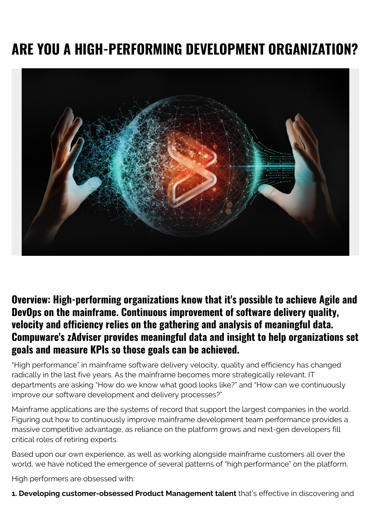# **ARE YOU A HIGH-PERFORMING DEVELOPMENT ORGANIZATION?**



#### **Overview: High-performing organizations know that it's possible to achieve Agile and DevOps on the mainframe. Continuous improvement of software delivery quality, velocity and efficiency relies on the gathering and analysis of meaningful data. Compuware's zAdviser provides meaningful data and insight to help organizations set goals and measure KPIs so those goals can be achieved.**

"High performance" in mainframe software delivery velocity, quality and efficiency has changed radically in the last five years. As the mainframe becomes more strategically relevant, IT departments are asking "How do we know what good looks like?" and "How can we continuously improve our software development and delivery processes?"

Mainframe applications are the systems of record that support the largest companies in the world. Figuring out how to continuously improve mainframe development team performance provides a massive competitive advantage, as reliance on the platform grows and next-gen developers fill critical roles of retiring experts.

Based upon our own experience, as well as working alongside mainframe customers all over the world, we have noticed the emergence of several patterns of "high performance" on the platform.

High performers are obsessed with:

**1. Developing customer-obsessed Product Management talent** that's effective in discovering and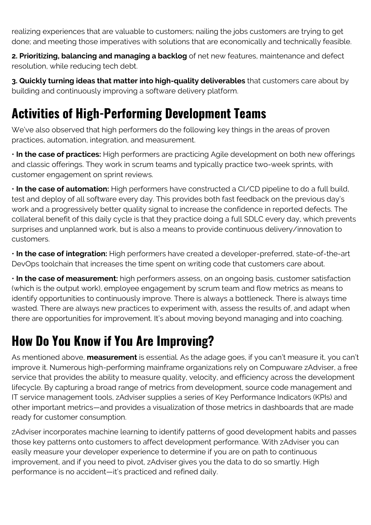realizing experiences that are valuable to customers; nailing the jobs customers are trying to get done; and meeting those imperatives with solutions that are economically and technically feasible.

**2. Prioritizing, balancing and managing a backlog** of net new features, maintenance and defect resolution, while reducing tech debt.

**3. Quickly turning ideas that matter into high-quality deliverables** that customers care about by building and continuously improving a software delivery platform.

# **Activities of High-Performing Development Teams**

We've also observed that high performers do the following key things in the areas of proven practices, automation, integration, and measurement.

• **In the case of practices:** High performers are practicing Agile development on both new offerings and classic offerings. They work in scrum teams and typically practice two-week sprints, with customer engagement on sprint reviews.

• **In the case of automation:** High performers have constructed a CI/CD pipeline to do a full build, test and deploy of all software every day. This provides both fast feedback on the previous day's work and a progressively better quality signal to increase the confidence in reported defects. The collateral benefit of this daily cycle is that they practice doing a full SDLC every day, which prevents surprises and unplanned work, but is also a means to provide continuous delivery/innovation to customers.

• **In the case of integration:** High performers have created a developer-preferred, state-of-the-art DevOps toolchain that increases the time spent on writing code that customers care about.

• **In the case of measurement:** high performers assess, on an ongoing basis, customer satisfaction (which is the output work), employee engagement by scrum team and flow metrics as means to identify opportunities to continuously improve. There is always a bottleneck. There is always time wasted. There are always new practices to experiment with, assess the results of, and adapt when there are opportunities for improvement. It's about moving beyond managing and into coaching.

## **How Do You Know if You Are Improving?**

As mentioned above, **measurement** is essential. As the adage goes, if you can't measure it, you can't improve it. Numerous high-performing mainframe organizations rely on Compuware zAdviser, a free service that provides the ability to measure quality, velocity, and efficiency across the development lifecycle. By capturing a broad range of metrics from development, source code management and IT service management tools, zAdviser supplies a series of Key Performance Indicators (KPIs) and other important metrics—and provides a visualization of those metrics in dashboards that are made ready for customer consumption.

zAdviser incorporates machine learning to identify patterns of good development habits and passes those key patterns onto customers to affect development performance. With zAdviser you can easily measure your developer experience to determine if you are on path to continuous improvement, and if you need to pivot, zAdviser gives you the data to do so smartly. High performance is no accident—it's practiced and refined daily.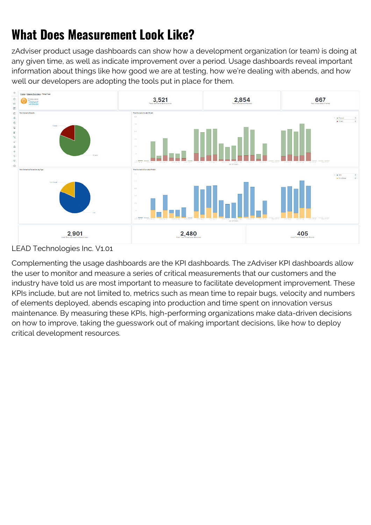# **What Does Measurement Look Like?**

zAdviser product usage dashboards can show how a development organization (or team) is doing at any given time, as well as indicate improvement over a period. Usage dashboards reveal important information about things like how good we are at testing, how we're dealing with abends, and how well our developers are adopting the tools put in place for them.



LEAD Technologies Inc. V1.01

Complementing the usage dashboards are the KPI dashboards. The zAdviser KPI dashboards allow the user to monitor and measure a series of critical measurements that our customers and the industry have told us are most important to measure to facilitate development improvement. These KPIs include, but are not limited to, metrics such as mean time to repair bugs, velocity and numbers of elements deployed, abends escaping into production and time spent on innovation versus maintenance. By measuring these KPIs, high-performing organizations make data-driven decisions on how to improve, taking the guesswork out of making important decisions, like how to deploy critical development resources.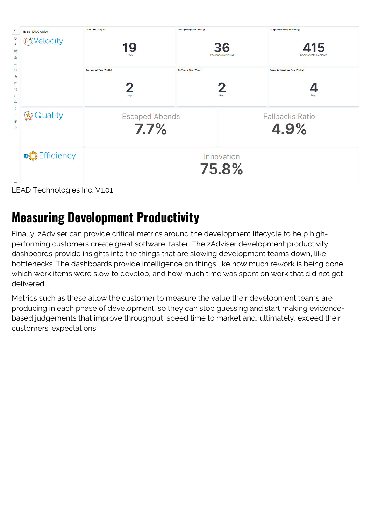| $\Theta$<br>Home / KPIs Overview                                                               | Mean Time To Regain               | <b>Packages Deployed (Weekly)</b>       | Components Deployed (Weekly)               |  |  |  |
|------------------------------------------------------------------------------------------------|-----------------------------------|-----------------------------------------|--------------------------------------------|--|--|--|
| $\odot$<br><b>@Velocity</b><br>命<br>$\overline{\mathbf{x}}$<br>當<br>杲<br>卿<br>⊜<br>日<br>尼<br>犲 | 19<br>Days                        | 36<br>Packages Deployed                 | 415<br><b>Components Deployed</b>          |  |  |  |
|                                                                                                | Development Time (Weekly)<br>Days | <b>QA/Testing Time (Weekly)</b><br>Days | Production Readiness Time (Weekly)<br>Days |  |  |  |
| 商<br>÷<br>Quality<br>$\mathbb{R}$<br>참<br>ş<br>0                                               | <b>Escaped Abends</b><br>7.7%     |                                         | <b>Fallbacks Ratio</b><br>4.9%             |  |  |  |
| <b>o</b> C Efficiency                                                                          |                                   | Innovation<br>75.8%                     |                                            |  |  |  |
| $\Rightarrow$                                                                                  |                                   |                                         |                                            |  |  |  |
| LEAD Technologies Inc. V1.01                                                                   |                                   |                                         |                                            |  |  |  |

#### **Measuring Development Productivity**

Finally, zAdviser can provide critical metrics around the development lifecycle to help highperforming customers create great software, faster. The zAdviser development productivity dashboards provide insights into the things that are slowing development teams down, like bottlenecks. The dashboards provide intelligence on things like how much rework is being done, which work items were slow to develop, and how much time was spent on work that did not get delivered.

Metrics such as these allow the customer to measure the value their development teams are producing in each phase of development, so they can stop guessing and start making evidencebased judgements that improve throughput, speed time to market and, ultimately, exceed their customers' expectations.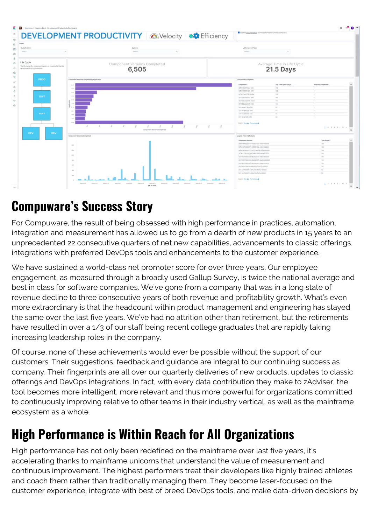|                                                                                                         | <b>DEVELOPMENT PRODUCTIVITY AVelocity ##</b> Efficiency                                                                                     | C lies the documentation for more information on this deshiboard.                            |                                         |                           |  |  |
|---------------------------------------------------------------------------------------------------------|---------------------------------------------------------------------------------------------------------------------------------------------|----------------------------------------------------------------------------------------------|-----------------------------------------|---------------------------|--|--|
| Filters<br>A Applications                                                                               | Albert-                                                                                                                                     | A Component Type                                                                             |                                         |                           |  |  |
| Telect.<br><b>CM</b>                                                                                    | fatters.<br>$\sim$                                                                                                                          | Smit.                                                                                        | $\sim$                                  |                           |  |  |
| Life Cycle<br>The the cucle of a component teigms on checkout and ends<br>upor promotion to production. | Component Versions Completed<br>6,505                                                                                                       |                                                                                              | Average Time in Life Cycle<br>21.5 Days |                           |  |  |
| PROD                                                                                                    | Component Versions Completed by Application                                                                                                 | Components Campbrist                                                                         |                                         |                           |  |  |
|                                                                                                         | $100 - 100$                                                                                                                                 | Companyot !                                                                                  | Ang Time Sport (Days) .                 | <b>Versions Completed</b> |  |  |
|                                                                                                         | <b>STEP</b>                                                                                                                                 | WR-WZECKAL-KIM                                                                               | $-10$                                   |                           |  |  |
|                                                                                                         | $-25.3$                                                                                                                                     | <b>NYS INTECTION ASM</b>                                                                     | 788                                     |                           |  |  |
|                                                                                                         |                                                                                                                                             | CION-CHROCKLINJAN                                                                            | <b>Inch</b>                             |                           |  |  |
| <b>TEST</b>                                                                                             |                                                                                                                                             | KD-T-DBLGDZET-ADA                                                                            | 16                                      | $\mathcal{R}$             |  |  |
|                                                                                                         | <b>MS</b>                                                                                                                                   | <b>ICIT-DELGERET-AMAIC</b>                                                                   | 78.                                     | -                         |  |  |
|                                                                                                         | 1.11                                                                                                                                        | KD17-DBUBCCST-ASM                                                                            | $-10$                                   | 19.1                      |  |  |
|                                                                                                         |                                                                                                                                             | SUSTINGESTER-BARRA                                                                           | -no-                                    | -                         |  |  |
|                                                                                                         |                                                                                                                                             | USE-INJPDOG-ASM                                                                              | 10                                      | - 67                      |  |  |
| TEST                                                                                                    |                                                                                                                                             | NJT-WARROOM-ASM                                                                              | 12                                      |                           |  |  |
|                                                                                                         | $1 \quad 1 \quad 1 \quad 1$<br>W.                                                                                                           | <b><i>IMPARADONA</i></b><br>Tont, See A. Terratori A.                                        | $-0.01$                                 | 1:1:4:50                  |  |  |
| DEV<br>DEV.                                                                                             | Comparent Vensions Completed                                                                                                                |                                                                                              |                                         |                           |  |  |
|                                                                                                         | Component Versions Completed                                                                                                                | Longset Time in Life Cycle                                                                   |                                         |                           |  |  |
|                                                                                                         |                                                                                                                                             | Component Variation                                                                          |                                         | Time (Days)               |  |  |
|                                                                                                         | <b>Last</b>                                                                                                                                 | In the excitation of a second and a side opposite<br>ANTH-ANTHODOGETT-WEDSCHLIBL-AIRA-DODDER |                                         | 138                       |  |  |
|                                                                                                         | turn:                                                                                                                                       | ANTH INFEDERED? HISTORIAN ASIA COOLIS.                                                       |                                         | 100<br><b>VAL</b>         |  |  |
|                                                                                                         |                                                                                                                                             | DITH DITHORITIE-DWFD28LS-ASM-00021                                                           |                                         | 128                       |  |  |
|                                                                                                         | <b>USE</b>                                                                                                                                  | AD THE FORD DR. SECTION AND ARREST                                                           |                                         | <b>COL</b>                |  |  |
|                                                                                                         | $\sim$                                                                                                                                      | abili aprisocato daugore il asso costosi                                                     |                                         | 16                        |  |  |
|                                                                                                         |                                                                                                                                             | KD17-KD17000300-SWUQCZTLT-ASM-000003                                                         |                                         | $\mathbf{m}$              |  |  |
|                                                                                                         | $\sim$                                                                                                                                      | VAILABITAGETS ASHALIS LADS (2000)                                                            |                                         | in.                       |  |  |
|                                                                                                         | $\frac{1}{2} \left( \frac{1}{2} \right) \left( \frac{1}{2} \right)$                                                                         | Jackson/Bond-WALLE-RING-00000                                                                |                                         | 12.1                      |  |  |
|                                                                                                         | $\sim$                                                                                                                                      | TAXP-ASTERSFREUTRALISM AUPALOOSIST                                                           |                                         | 12.1                      |  |  |
|                                                                                                         |                                                                                                                                             | <b>Bont Rev &amp; Fornated &amp;</b>                                                         |                                         |                           |  |  |
|                                                                                                         | <b>STANDARD</b><br>zione sana zauz zauz<br>mental.<br>means of<br><b>SWARDS</b><br><b>JOHN N</b><br>Contract 1<br>- provident<br>popular in | <b>SERVICE</b>                                                                               |                                         | $1 - 1 - 1 - 1 - 1 - 1$   |  |  |

#### **Compuware's Success Story**

For Compuware, the result of being obsessed with high performance in practices, automation, integration and measurement has allowed us to go from a dearth of new products in 15 years to an unprecedented 22 consecutive quarters of net new capabilities, advancements to classic offerings, integrations with preferred DevOps tools and enhancements to the customer experience.

We have sustained a world-class net promoter score for over three years. Our employee engagement, as measured through a broadly used Gallup Survey, is twice the national average and best in class for software companies. We've gone from a company that was in a long state of revenue decline to three consecutive years of both revenue and profitability growth. What's even more extraordinary is that the headcount within product management and engineering has stayed the same over the last five years. We've had no attrition other than retirement, but the retirements have resulted in over a 1/3 of our staff being recent college graduates that are rapidly taking increasing leadership roles in the company.

Of course, none of these achievements would ever be possible without the support of our customers. Their suggestions, feedback and guidance are integral to our continuing success as company. Their fingerprints are all over our quarterly deliveries of new products, updates to classic offerings and DevOps integrations. In fact, with every data contribution they make to zAdviser, the tool becomes more intelligent, more relevant and thus more powerful for organizations committed to continuously improving relative to other teams in their industry vertical, as well as the mainframe ecosystem as a whole.

## **High Performance is Within Reach for All Organizations**

High performance has not only been redefined on the mainframe over last five years, it's accelerating thanks to mainframe unicorns that understand the value of measurement and continuous improvement. The highest performers treat their developers like highly trained athletes and coach them rather than traditionally managing them. They become laser-focused on the customer experience, integrate with best of breed DevOps tools, and make data-driven decisions by